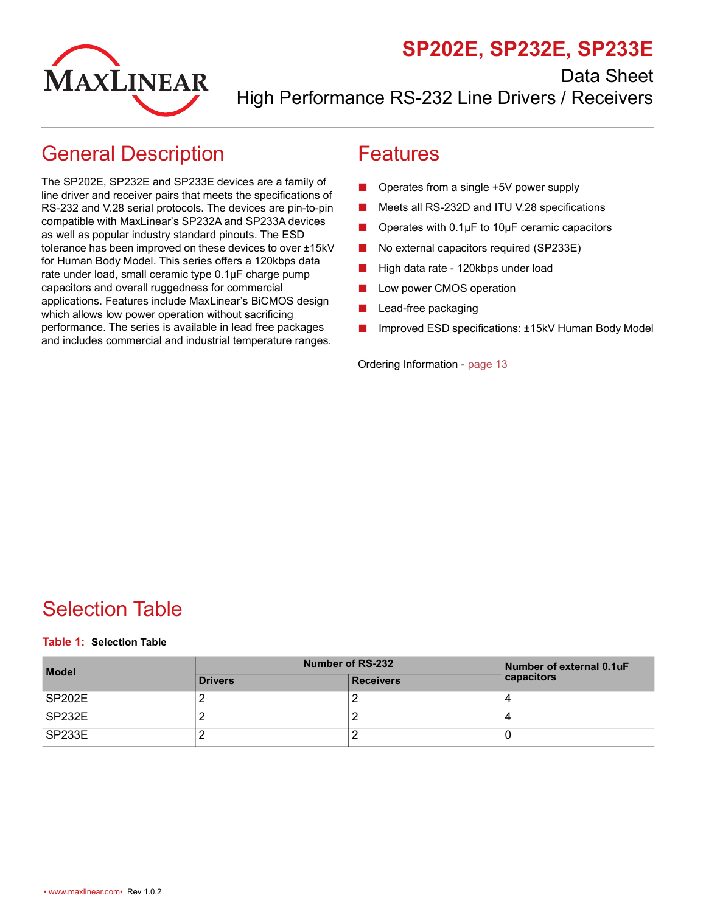

## **SP202E, SP232E, SP233E**

Data Sheet

High Performance RS-232 Line Drivers / Receivers

### <span id="page-0-0"></span>General Description

The SP202E, SP232E and SP233E devices are a family of line driver and receiver pairs that meets the specifications of RS-232 and V.28 serial protocols. The devices are pin-to-pin compatible with MaxLinear's SP232A and SP233A devices as well as popular industry standard pinouts. The ESD tolerance has been improved on these devices to over ±15kV for Human Body Model. This series offers a 120kbps data rate under load, small ceramic type 0.1µF charge pump capacitors and overall ruggedness for commercial applications. Features include MaxLinear's BiCMOS design which allows low power operation without sacrificing performance. The series is available in lead free packages and includes commercial and industrial temperature ranges.

#### <span id="page-0-1"></span>Features

- Operates from a single +5V power supply
- Meets all RS-232D and ITU V.28 specifications
- Operates with  $0.1\mu$ F to  $10\mu$ F ceramic capacitors
- No external capacitors required (SP233E)
- High data rate 120kbps under load
- Low power CMOS operation
- Lead-free packaging
- Improved ESD specifications: ±15kV Human Body Model

Ordering Information - [page](#page-17-0) 13

# <span id="page-0-2"></span>Selection Table

#### <span id="page-0-3"></span>**Table 1: Selection Table**

| <b>Model</b>  |                | Number of RS-232 | Number of external 0.1uF            |  |
|---------------|----------------|------------------|-------------------------------------|--|
|               | <b>Drivers</b> | <b>Receivers</b> | $\overline{\phantom{a}}$ capacitors |  |
| <b>SP202E</b> |                |                  | 4                                   |  |
| SP232E        |                |                  | 4                                   |  |
| SP233E        |                |                  | J                                   |  |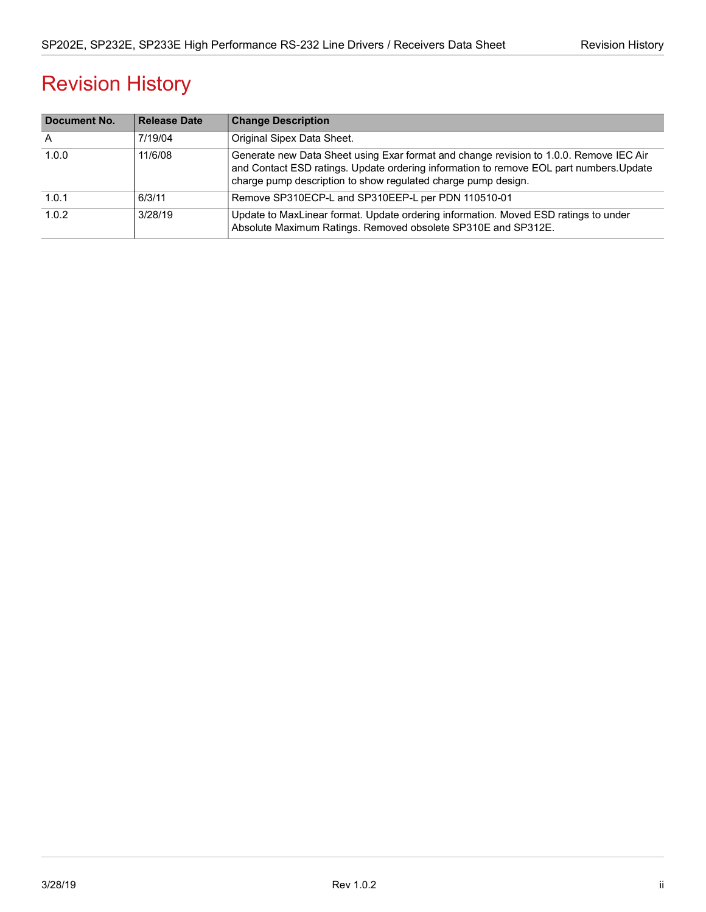# Revision History

| Document No.   | <b>Release Date</b> | <b>Change Description</b>                                                                                                                                                                                                                          |
|----------------|---------------------|----------------------------------------------------------------------------------------------------------------------------------------------------------------------------------------------------------------------------------------------------|
| $\overline{A}$ | 7/19/04             | Original Sipex Data Sheet.                                                                                                                                                                                                                         |
| 1.0.0          | 11/6/08             | Generate new Data Sheet using Exar format and change revision to 1.0.0. Remove IEC Air<br>and Contact ESD ratings. Update ordering information to remove EOL part numbers. Update<br>charge pump description to show regulated charge pump design. |
| 1.0.1          | 6/3/11              | Remove SP310ECP-L and SP310EEP-L per PDN 110510-01                                                                                                                                                                                                 |
| 1.0.2          | 3/28/19             | Update to MaxLinear format. Update ordering information. Moved ESD ratings to under<br>Absolute Maximum Ratings. Removed obsolete SP310E and SP312E.                                                                                               |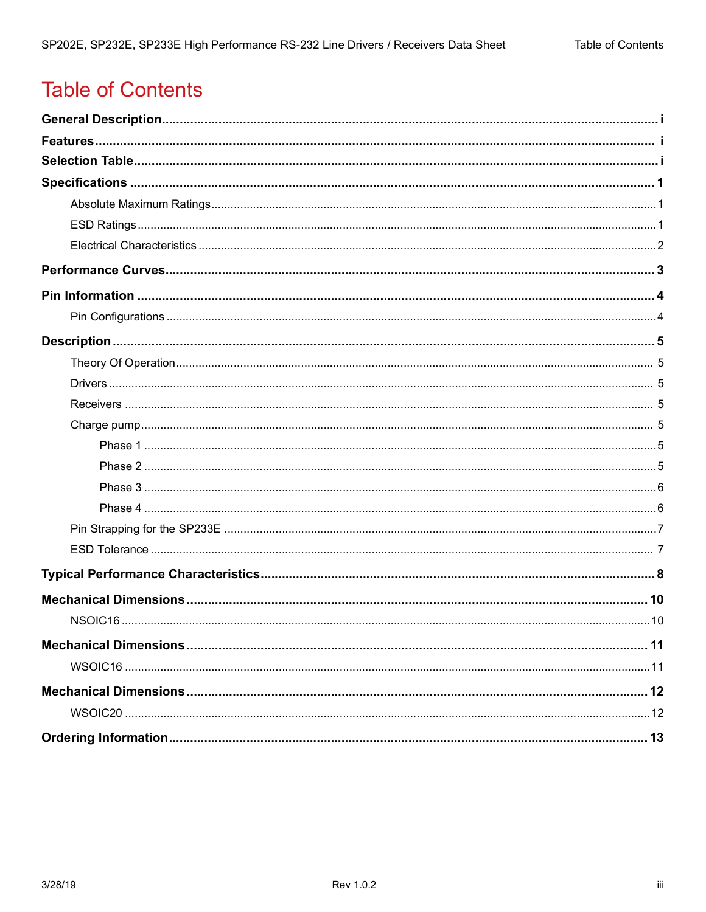# **Table of Contents**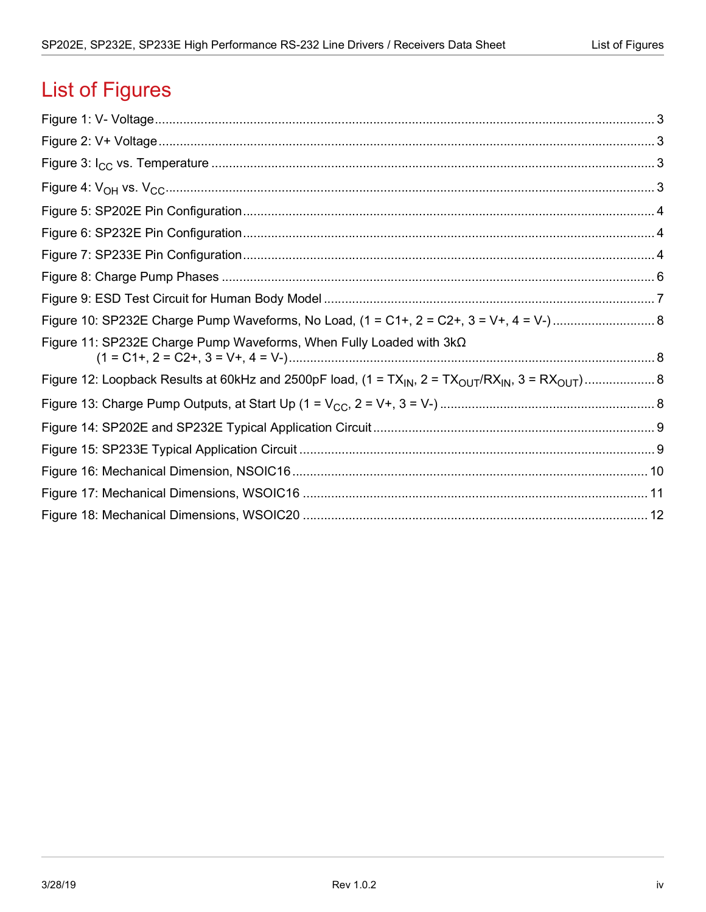# **List of Figures**

| Figure 11: SP232E Charge Pump Waveforms, When Fully Loaded with $3k\Omega$                                  |
|-------------------------------------------------------------------------------------------------------------|
| Figure 12: Loopback Results at 60kHz and 2500pF load, $(1 = TX_{IN}, 2 = TX_{OUT}/RX_{IN}, 3 = RX_{OUT})$ 8 |
|                                                                                                             |
|                                                                                                             |
|                                                                                                             |
|                                                                                                             |
|                                                                                                             |
|                                                                                                             |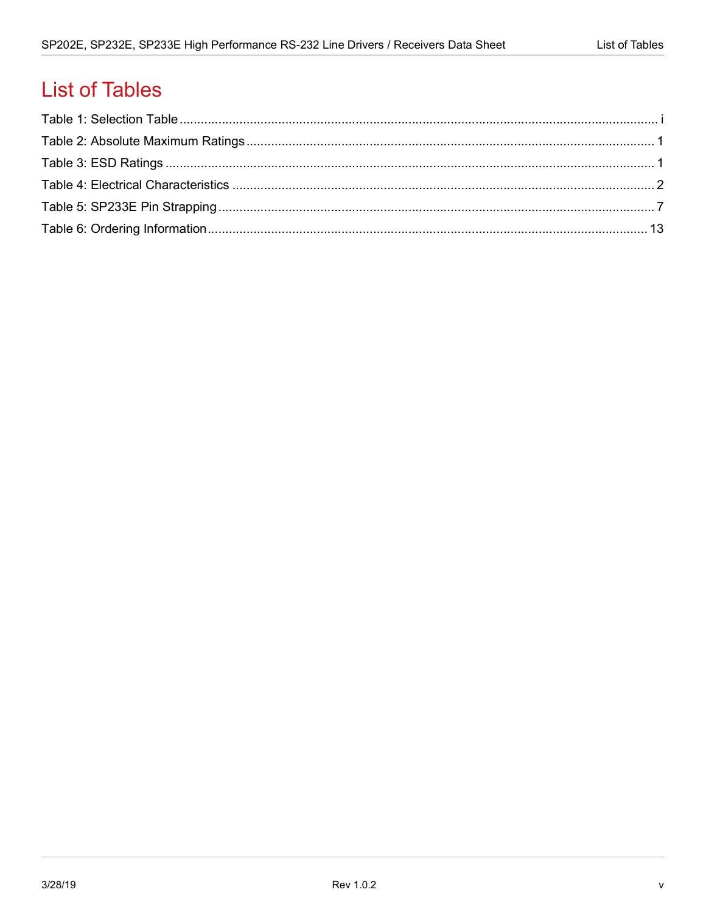# **List of Tables**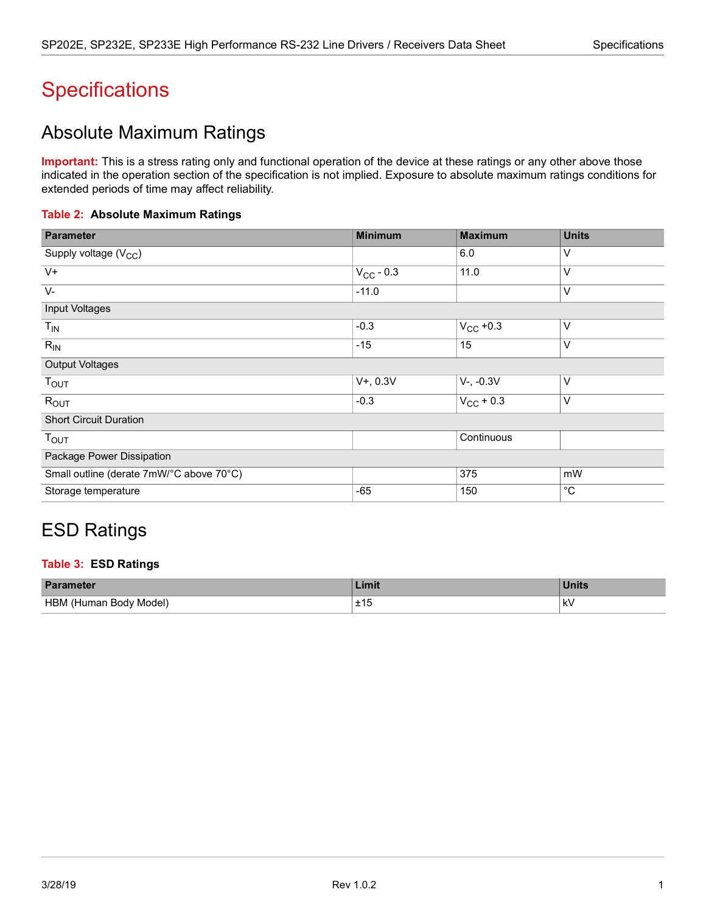# <span id="page-5-0"></span>**Specifications**

## <span id="page-5-1"></span>Absolute Maximum Ratings

**Important:** This is a stress rating only and functional operation of the device at these ratings or any other above those indicated in the operation section of the specification is not implied. Exposure to absolute maximum ratings conditions for extended periods of time may affect reliability.

#### <span id="page-5-3"></span>**Table 2: Absolute Maximum Ratings**

| <b>Parameter</b>                         | <b>Minimum</b> | <b>Maximum</b>        | <b>Units</b> |
|------------------------------------------|----------------|-----------------------|--------------|
| Supply voltage $(V_{CC})$                |                | 6.0                   | V            |
| $V +$                                    | $V_{CC}$ - 0.3 | 11.0                  | V            |
| $V -$                                    | $-11.0$        |                       | V            |
| Input Voltages                           |                |                       |              |
| $T_{IN}$                                 | $-0.3$         | $V_{CC}$ +0.3         | V            |
| $R_{IN}$                                 | $-15$          | 15                    | V            |
| <b>Output Voltages</b>                   |                |                       |              |
| T <sub>OUT</sub>                         | $V+$ , 0.3 $V$ | $V-, -0.3V$           | V            |
| $R_{OUT}$                                | $-0.3$         | $V_{\text{CC}} + 0.3$ | V            |
| <b>Short Circuit Duration</b>            |                |                       |              |
| T <sub>OUT</sub>                         |                | Continuous            |              |
| Package Power Dissipation                |                |                       |              |
| Small outline (derate 7mW/°C above 70°C) |                | 375                   | mW           |
| Storage temperature                      | $-65$          | 150                   | °C           |

## <span id="page-5-2"></span>ESD Ratings

#### <span id="page-5-4"></span>**Table 3: ESD Ratings**

| <b>Parameter</b>                 | Limit               | <b>United</b><br>ишк |
|----------------------------------|---------------------|----------------------|
| <b>HBM</b><br>(Human Body Model) | AA<br>ں ہے<br>- - - | kV                   |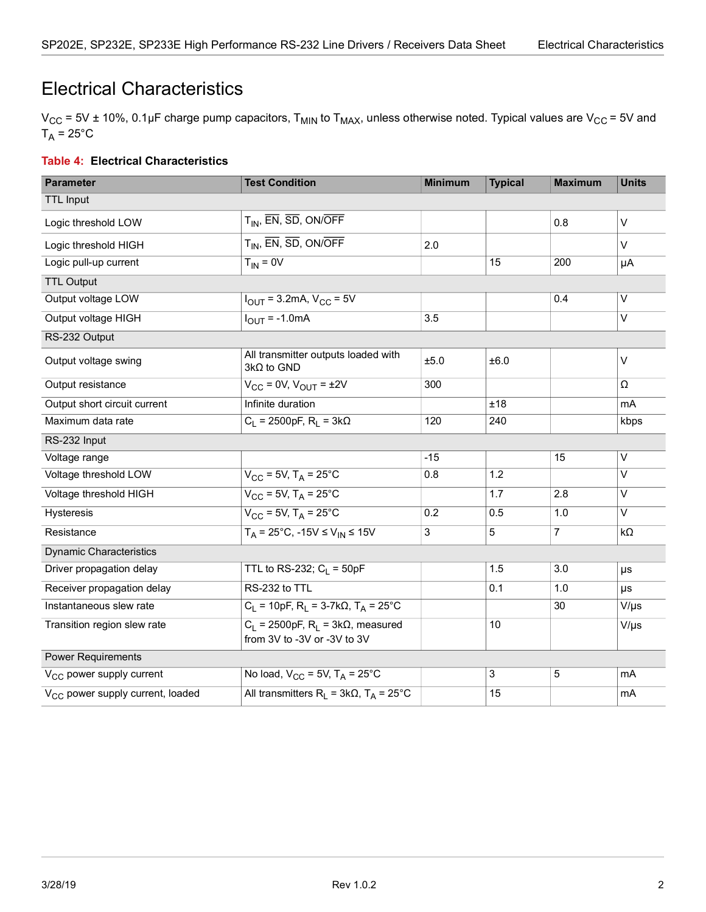### <span id="page-6-0"></span>Electrical Characteristics

 $V_{CC}$  = 5V ± 10%, 0.1µF charge pump capacitors, T<sub>MIN</sub> to T<sub>MAX</sub>, unless otherwise noted. Typical values are V<sub>CC</sub> = 5V and  $T_A = 25$ °C

#### <span id="page-6-1"></span>**Table 4: Electrical Characteristics**

| <b>Parameter</b>                             | <b>Test Condition</b>                                                         | <b>Minimum</b> | <b>Typical</b> | <b>Maximum</b> | <b>Units</b>            |
|----------------------------------------------|-------------------------------------------------------------------------------|----------------|----------------|----------------|-------------------------|
| <b>TTL Input</b>                             |                                                                               |                |                |                |                         |
| Logic threshold LOW                          | $T_{IN}$ , EN, SD, ON/OFF                                                     |                |                | 0.8            | $\vee$                  |
| Logic threshold HIGH                         | $T_{IN}$ , EN, SD, ON/OFF                                                     | 2.0            |                |                | V                       |
| Logic pull-up current                        | $T_{IN} = 0V$                                                                 |                | 15             | 200            | μA                      |
| <b>TTL Output</b>                            |                                                                               |                |                |                |                         |
| Output voltage LOW                           | $I_{\text{OUT}} = 3.2 \text{mA}, V_{\text{CC}} = 5V$                          |                |                | 0.4            | $\vee$                  |
| Output voltage HIGH                          | $I_{\text{OUT}} = -1.0 \text{mA}$                                             | 3.5            |                |                | $\overline{\vee}$       |
| RS-232 Output                                |                                                                               |                |                |                |                         |
| Output voltage swing                         | All transmitter outputs loaded with<br>3kΩ to GND                             | ±5.0           | ±6.0           |                | $\vee$                  |
| Output resistance                            | $V_{CC}$ = 0V, $V_{OUT}$ = $±2V$                                              | 300            |                |                | Ω                       |
| Output short circuit current                 | Infinite duration                                                             |                | ±18            |                | mA                      |
| Maximum data rate                            | $C_1 = 2500pF, R_1 = 3k\Omega$                                                | 120            | 240            |                | kbps                    |
| RS-232 Input                                 |                                                                               |                |                |                |                         |
| Voltage range                                |                                                                               | $-15$          |                | 15             | V                       |
| Voltage threshold LOW                        | $V_{CC}$ = 5V, T <sub>A</sub> = 25°C                                          | 0.8            | 1.2            |                | $\vee$                  |
| Voltage threshold HIGH                       | $V_{CC}$ = 5V, T <sub>A</sub> = 25°C                                          |                | 1.7            | 2.8            | $\overline{\mathsf{V}}$ |
| Hysteresis                                   | $V_{CC}$ = 5V, T <sub>A</sub> = 25°C                                          | 0.2            | 0.5            | 1.0            | $\vee$                  |
| Resistance                                   | $T_A = 25^{\circ}C, -15V \le V_{IN} \le 15V$                                  | $\mathfrak{S}$ | $\overline{5}$ | $\overline{7}$ | $k\Omega$               |
| <b>Dynamic Characteristics</b>               |                                                                               |                |                |                |                         |
| Driver propagation delay                     | TTL to RS-232; $C_1 = 50pF$                                                   |                | 1.5            | 3.0            | μs                      |
| Receiver propagation delay                   | RS-232 to TTL                                                                 |                | 0.1            | 1.0            | μs                      |
| Instantaneous slew rate                      | $C_1$ = 10pF, R <sub>1</sub> = 3-7kΩ, T <sub>A</sub> = 25°C                   |                |                | 30             | $V/\mu s$               |
| Transition region slew rate                  | $C_1$ = 2500pF, $R_1$ = 3k $\Omega$ , measured<br>from 3V to -3V or -3V to 3V |                | 10             |                | $V/\mu s$               |
| Power Requirements                           |                                                                               |                |                |                |                         |
| V <sub>CC</sub> power supply current         | No load, $V_{CC}$ = 5V, $T_A$ = 25°C                                          |                | $\mathfrak{S}$ | 5              | mA                      |
| V <sub>CC</sub> power supply current, loaded | All transmitters $R_1 = 3k\Omega$ , $T_A = 25^{\circ}C$                       |                | 15             |                | mA                      |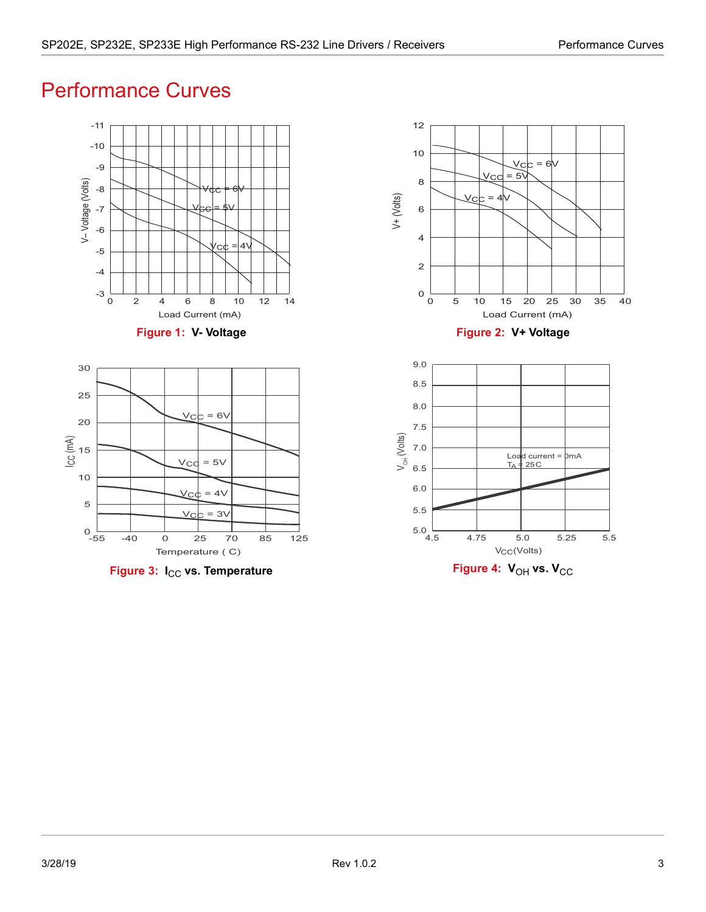## <span id="page-7-5"></span><span id="page-7-0"></span>Performance Curves





<span id="page-7-1"></span>

<span id="page-7-4"></span><span id="page-7-3"></span>

<span id="page-7-2"></span>

**Figure 1: V- Voltage Figure 2: V+ Voltage**

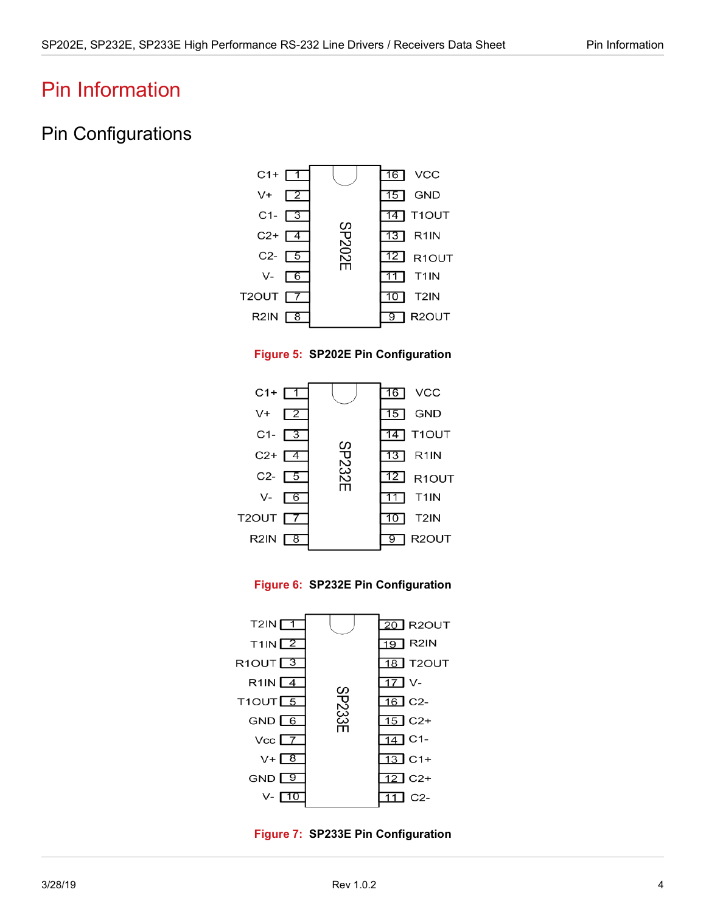## <span id="page-8-0"></span>Pin Information

### <span id="page-8-1"></span>Pin Configurations





<span id="page-8-2"></span>



<span id="page-8-3"></span>

<span id="page-8-4"></span>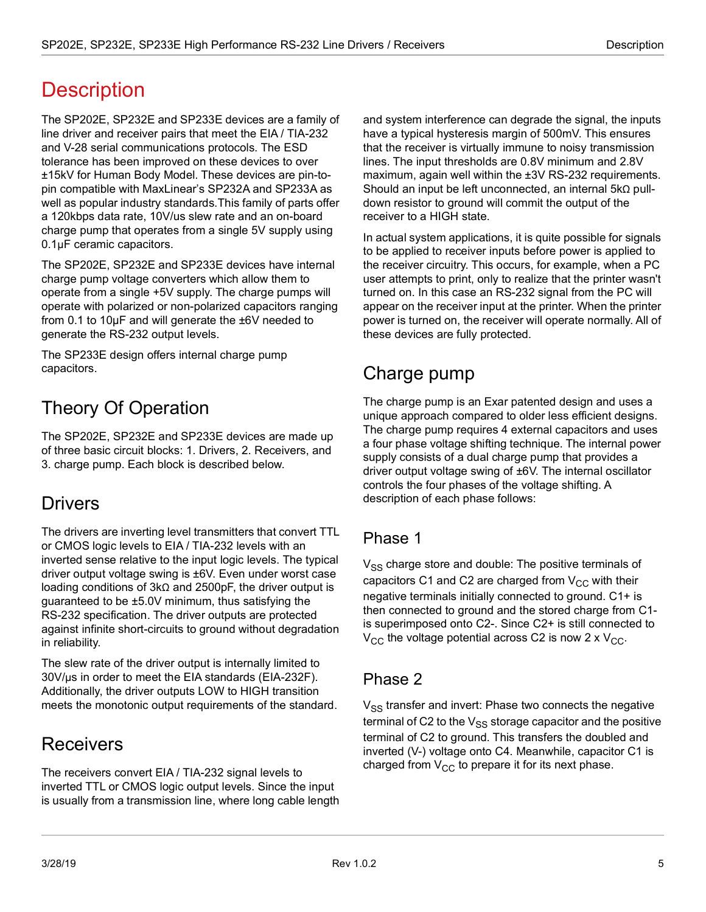# <span id="page-9-0"></span>**Description**

The SP202E, SP232E and SP233E devices are a family of line driver and receiver pairs that meet the EIA / TIA-232 and V-28 serial communications protocols. The ESD tolerance has been improved on these devices to over ±15kV for Human Body Model. These devices are pin-topin compatible with MaxLinear's SP232A and SP233A as well as popular industry standards.This family of parts offer a 120kbps data rate, 10V/us slew rate and an on-board charge pump that operates from a single 5V supply using 0.1µF ceramic capacitors.

The SP202E, SP232E and SP233E devices have internal charge pump voltage converters which allow them to operate from a single +5V supply. The charge pumps will operate with polarized or non-polarized capacitors ranging from 0.1 to 10µF and will generate the ±6V needed to generate the RS-232 output levels.

The SP233E design offers internal charge pump capacitors.

# <span id="page-9-1"></span>Theory Of Operation

The SP202E, SP232E and SP233E devices are made up of three basic circuit blocks: 1. Drivers, 2. Receivers, and 3. charge pump. Each block is described below.

### <span id="page-9-2"></span>**Drivers**

The drivers are inverting level transmitters that convert TTL or CMOS logic levels to EIA / TIA-232 levels with an inverted sense relative to the input logic levels. The typical driver output voltage swing is ±6V. Even under worst case loading conditions of 3kΩ and 2500pF, the driver output is guaranteed to be ±5.0V minimum, thus satisfying the RS-232 specification. The driver outputs are protected against infinite short-circuits to ground without degradation in reliability.

The slew rate of the driver output is internally limited to 30V/µs in order to meet the EIA standards (EIA-232F). Additionally, the driver outputs LOW to HIGH transition meets the monotonic output requirements of the standard.

## <span id="page-9-3"></span>Receivers

The receivers convert EIA / TIA-232 signal levels to inverted TTL or CMOS logic output levels. Since the input is usually from a transmission line, where long cable length and system interference can degrade the signal, the inputs have a typical hysteresis margin of 500mV. This ensures that the receiver is virtually immune to noisy transmission lines. The input thresholds are 0.8V minimum and 2.8V maximum, again well within the ±3V RS-232 requirements. Should an input be left unconnected, an internal 5kΩ pulldown resistor to ground will commit the output of the receiver to a HIGH state.

In actual system applications, it is quite possible for signals to be applied to receiver inputs before power is applied to the receiver circuitry. This occurs, for example, when a PC user attempts to print, only to realize that the printer wasn't turned on. In this case an RS-232 signal from the PC will appear on the receiver input at the printer. When the printer power is turned on, the receiver will operate normally. All of these devices are fully protected.

## <span id="page-9-4"></span>Charge pump

The charge pump is an Exar patented design and uses a unique approach compared to older less efficient designs. The charge pump requires 4 external capacitors and uses a four phase voltage shifting technique. The internal power supply consists of a dual charge pump that provides a driver output voltage swing of ±6V. The internal oscillator controls the four phases of the voltage shifting. A description of each phase follows:

#### <span id="page-9-5"></span>Phase 1

V<sub>SS</sub> charge store and double: The positive terminals of capacitors C1 and C2 are charged from  $V_{CC}$  with their negative terminals initially connected to ground. C1+ is then connected to ground and the stored charge from C1 is superimposed onto C2-. Since C2+ is still connected to  $V_{CC}$  the voltage potential across C2 is now 2 x  $V_{CC}$ .

#### <span id="page-9-6"></span>Phase 2

 $V_{SS}$  transfer and invert: Phase two connects the negative terminal of C2 to the  $V_{SS}$  storage capacitor and the positive terminal of C2 to ground. This transfers the doubled and inverted (V-) voltage onto C4. Meanwhile, capacitor C1 is charged from  $V_{CC}$  to prepare it for its next phase.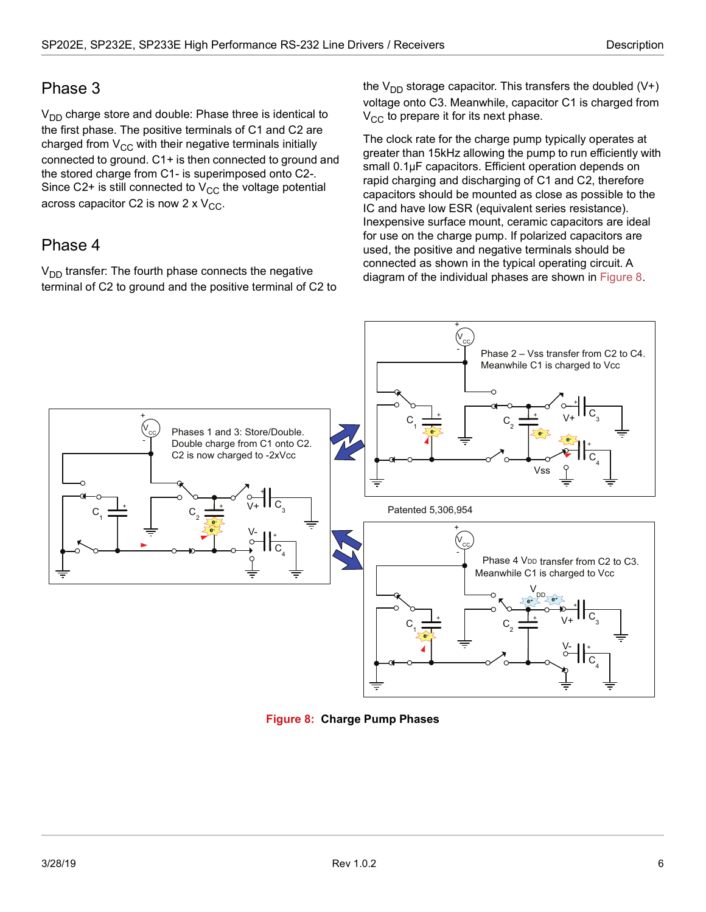#### <span id="page-10-0"></span>Phase 3

 $V_{DD}$  charge store and double: Phase three is identical to the first phase. The positive terminals of C1 and C2 are charged from  $V_{CC}$  with their negative terminals initially connected to ground. C1+ is then connected to ground and the stored charge from C1- is superimposed onto C2-. Since C2+ is still connected to  $V_{CC}$  the voltage potential across capacitor C2 is now 2 x  $V_{CC}$ .

#### <span id="page-10-1"></span>Phase 4

 $V<sub>DD</sub>$  transfer: The fourth phase connects the negative terminal of C2 to ground and the positive terminal of C2 to the  $V_{DD}$  storage capacitor. This transfers the doubled (V+) voltage onto C3. Meanwhile, capacitor C1 is charged from  $V_{CC}$  to prepare it for its next phase.

The clock rate for the charge pump typically operates at greater than 15kHz allowing the pump to run efficiently with small 0.1µF capacitors. Efficient operation depends on rapid charging and discharging of C1 and C2, therefore capacitors should be mounted as close as possible to the IC and have low ESR (equivalent series resistance). Inexpensive surface mount, ceramic capacitors are ideal for use on the charge pump. If polarized capacitors are used, the positive and negative terminals should be connected as shown in the typical operating circuit. A diagram of the individual phases are shown in [Figure 8](#page-10-2).



<span id="page-10-2"></span>**Figure 8: Charge Pump Phases**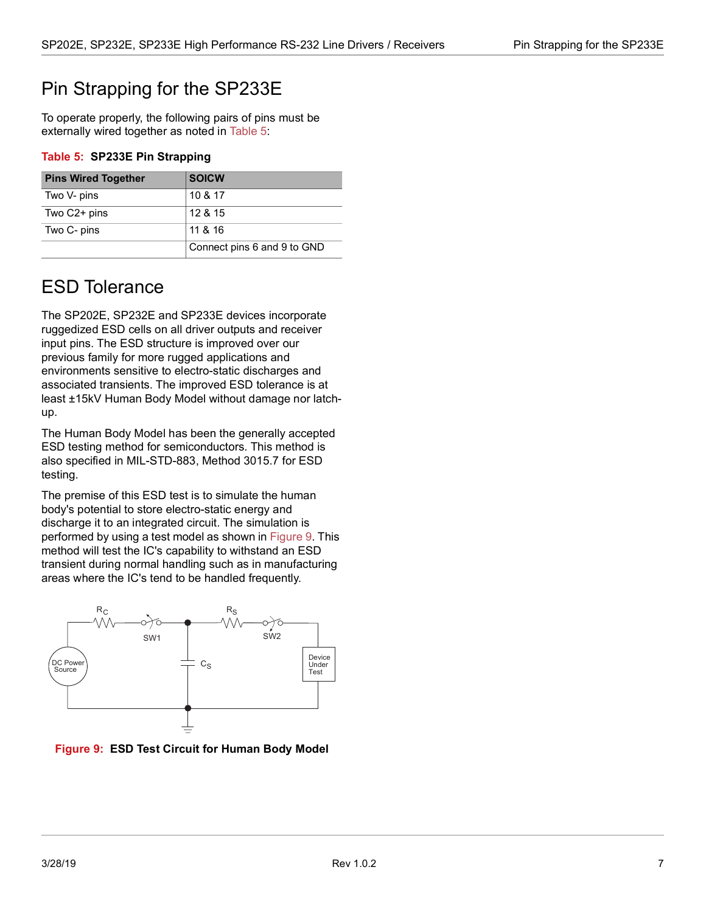## <span id="page-11-0"></span>Pin Strapping for the SP233E

To operate properly, the following pairs of pins must be externally wired together as noted in [Table 5:](#page-11-3)

#### <span id="page-11-3"></span>**Table 5: SP233E Pin Strapping**

| <b>Pins Wired Together</b> | <b>SOICW</b>                |
|----------------------------|-----------------------------|
| Two V- pins                | 10 & 17                     |
| Two C2+ pins               | 12 & 15                     |
| Two C- pins                | 11 & 16                     |
|                            | Connect pins 6 and 9 to GND |

### <span id="page-11-1"></span>ESD Tolerance

The SP202E, SP232E and SP233E devices incorporate ruggedized ESD cells on all driver outputs and receiver input pins. The ESD structure is improved over our previous family for more rugged applications and environments sensitive to electro-static discharges and associated transients. The improved ESD tolerance is at least ±15kV Human Body Model without damage nor latchup.

The Human Body Model has been the generally accepted ESD testing method for semiconductors. This method is also specified in MIL-STD-883, Method 3015.7 for ESD testing.

The premise of this ESD test is to simulate the human body's potential to store electro-static energy and discharge it to an integrated circuit. The simulation is performed by using a test model as shown in [Figure 9](#page-11-2). This method will test the IC's capability to withstand an ESD transient during normal handling such as in manufacturing areas where the IC's tend to be handled frequently.



<span id="page-11-2"></span>**Figure 9: ESD Test Circuit for Human Body Model**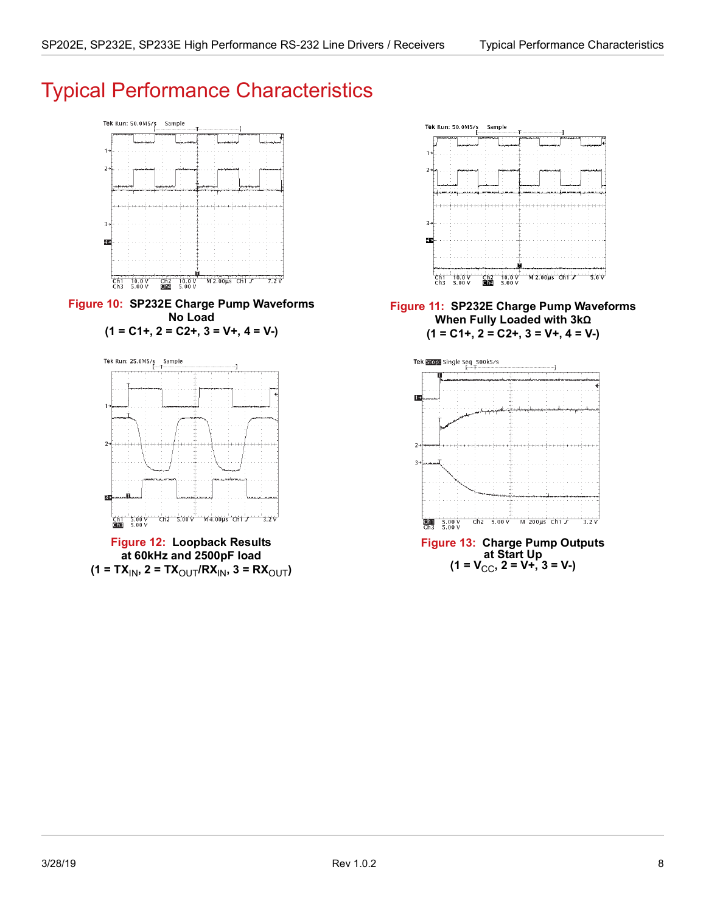# <span id="page-12-5"></span><span id="page-12-0"></span>Typical Performance Characteristics



<span id="page-12-1"></span>

<span id="page-12-3"></span>



<span id="page-12-2"></span>**Figure 11: SP232E Charge Pump Waveforms When Fully Loaded with 3kΩ**  $(1 = C1+, 2 = C2+, 3 = V+, 4 = V)$ 

<span id="page-12-4"></span>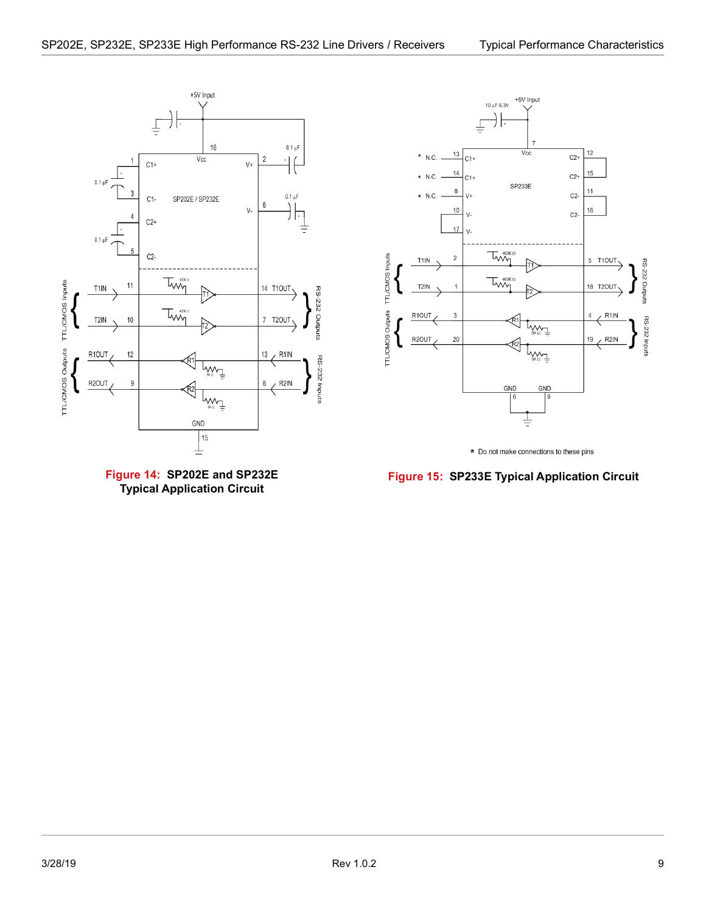

<span id="page-13-0"></span>



\* Do not make connections to these pins

<span id="page-13-1"></span>**Figure 15: SP233E Typical Application Circuit**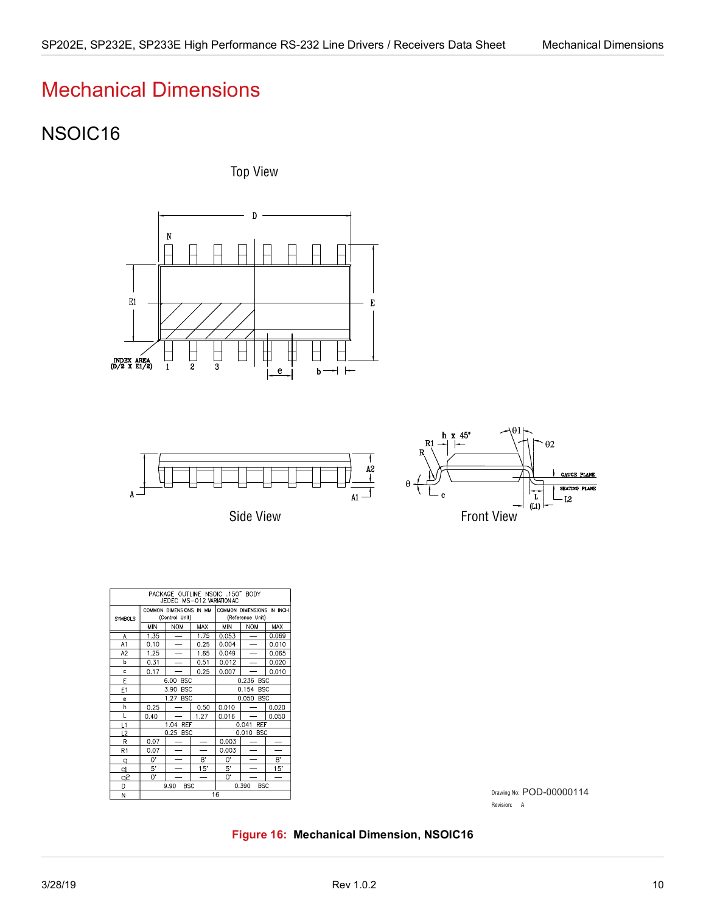# <span id="page-14-0"></span>Mechanical Dimensions

## <span id="page-14-1"></span>NSOIC16

Top View





Side View



| PACKAGE OUTLINE NSOIC .150" BODY<br>JEDEC MS-012 VARIATION AC |                                           |                                 |             |                     |                           |             |
|---------------------------------------------------------------|-------------------------------------------|---------------------------------|-------------|---------------------|---------------------------|-------------|
|                                                               | COMMON DIMENSIONS IN MM<br>(Control Unit) |                                 |             |                     | COMMON DIMENSIONS IN INCH |             |
| <b>SYMBOLS</b>                                                |                                           |                                 |             | (Reference Unit)    |                           |             |
|                                                               | MIN                                       | <b>NOM</b>                      | MAX         | MIN                 | <b>NOM</b>                | MAX         |
| Α                                                             | 1.35                                      | $\overline{\phantom{0}}$        | 1.75        | 0.053               | ÷.                        | 0.069       |
| A <sub>1</sub>                                                | 0.10                                      |                                 | 0.25        | 0.004               |                           | 0.010       |
| A <sub>2</sub>                                                | 1.25                                      |                                 | 1.65        | 0.049               |                           | 0.065       |
| b                                                             | 0.31                                      |                                 | 0.51        | 0.012<br>0.020      |                           |             |
| c                                                             | 0.17                                      |                                 | 0.25        | 0.007               |                           | 0.010       |
| E                                                             |                                           | 0.236 BSC<br>6.00<br><b>BSC</b> |             |                     |                           |             |
| E1                                                            | 3.90<br><b>BSC</b>                        |                                 |             | 0.154<br><b>BSC</b> |                           |             |
| e                                                             |                                           | 1.27 BSC                        |             |                     | 0.050<br><b>BSC</b>       |             |
| h                                                             | 0.25                                      |                                 | 0.50        | 0.010               |                           | 0.020       |
| L                                                             | 0.40                                      |                                 | 1.27        | 0.016               |                           | 0.050       |
| L1                                                            |                                           | 1.04 REF                        |             |                     | <b>REF</b><br>0.041       |             |
| L <sub>2</sub>                                                |                                           | 0.25 BSC                        |             |                     | 0.010 BSC                 |             |
| R                                                             | 0.07                                      |                                 |             | 0.003               |                           |             |
| R1                                                            | 0.07                                      |                                 |             | 0.003               |                           |             |
| q                                                             | 0.                                        | ÷                               | $8^{\circ}$ | 0.                  |                           | $8^{\circ}$ |
| q                                                             | $5^{\circ}$                               |                                 | 15"         | 5.                  |                           | 15"         |
| q2                                                            | Ü.                                        |                                 |             | 0.                  |                           |             |
| D                                                             | 0.390<br><b>BSC</b><br>9.90<br><b>BSC</b> |                                 |             |                     |                           |             |
| N                                                             |                                           | 16                              |             |                     |                           |             |

Drawing No: POD-00000114Revision: A

<span id="page-14-2"></span>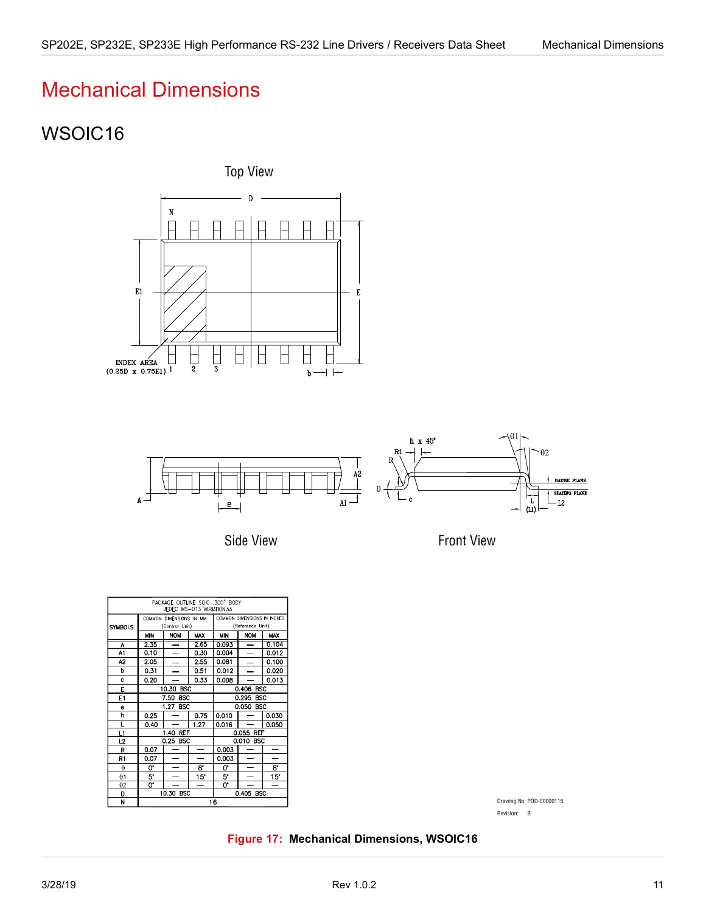# <span id="page-15-0"></span>Mechanical Dimensions

## <span id="page-15-1"></span>WSOIC16









| PACKAGE OUTLINE SOIC .300" BODY<br>JEDEC MS-013 VARIATION AA |                                           |                          |                                                 |                     |                          |            |  |
|--------------------------------------------------------------|-------------------------------------------|--------------------------|-------------------------------------------------|---------------------|--------------------------|------------|--|
| <b>SYMBOLS</b>                                               | COMMON DIMENSIONS IN MM<br>(Control Unit) |                          | COMMON DIMENSIONS IN INCHES<br>(Reference Unit) |                     |                          |            |  |
|                                                              | <b>MIN</b>                                | <b>NOM</b>               | <b>MAX</b>                                      | <b>MIN</b>          | <b>NOM</b>               | <b>MAX</b> |  |
| Α                                                            | 2.35                                      | $\overline{\phantom{0}}$ | 2.65                                            | 0.093               | $\overline{\phantom{0}}$ | 0.104      |  |
| A1                                                           | 0.10                                      |                          | 0.30                                            | 0.004               | $\equiv$                 | 0.012      |  |
| A2                                                           | 2.05                                      |                          | 2.55                                            | 0.081               |                          | 0.100      |  |
| b                                                            | 0.31                                      |                          | 0.51                                            | 0.012<br>0.020      |                          |            |  |
| C                                                            | 0.20                                      |                          | 0.33                                            | 0.008               |                          | 0.013      |  |
| E                                                            |                                           | 10.30 BSC                |                                                 | 0.406 BSC           |                          |            |  |
| E1                                                           |                                           | 7.50<br><b>BSC</b>       |                                                 |                     | <b>BSC</b><br>0.295      |            |  |
| e                                                            |                                           | 1.27 BSC                 |                                                 | 0.050<br><b>BSC</b> |                          |            |  |
| h                                                            | 0.25                                      |                          | 0.75                                            | 0.010               |                          | 0.030      |  |
| Г                                                            | 0.40                                      |                          | 1.27                                            | 0.016               |                          | 0.050      |  |
| L1                                                           | 1.40 REF                                  |                          |                                                 |                     | 0.055 REF                |            |  |
| L2                                                           |                                           | 0.25 BSC                 |                                                 |                     | 0.010 BSC                |            |  |
| К                                                            | 0.07                                      |                          |                                                 | 0.003               |                          |            |  |
| R1                                                           | 0.07                                      |                          |                                                 | 0.003               |                          |            |  |
| $\theta$                                                     | 0.                                        | -                        | 8.                                              | 0.                  | -                        | 8.         |  |
| $\theta$ 1                                                   | 5.                                        |                          | 15°                                             | 5.                  |                          | 15"        |  |
| 02                                                           | 0.                                        |                          |                                                 | 0.                  |                          |            |  |
| D                                                            | 10.30<br><b>BSC</b><br>0.405 BSC          |                          |                                                 |                     |                          |            |  |
| N                                                            | 16                                        |                          |                                                 |                     |                          |            |  |

Drawing No: POD-00000115 Revision: B

<span id="page-15-2"></span>**Figure 17: Mechanical Dimensions, WSOIC16**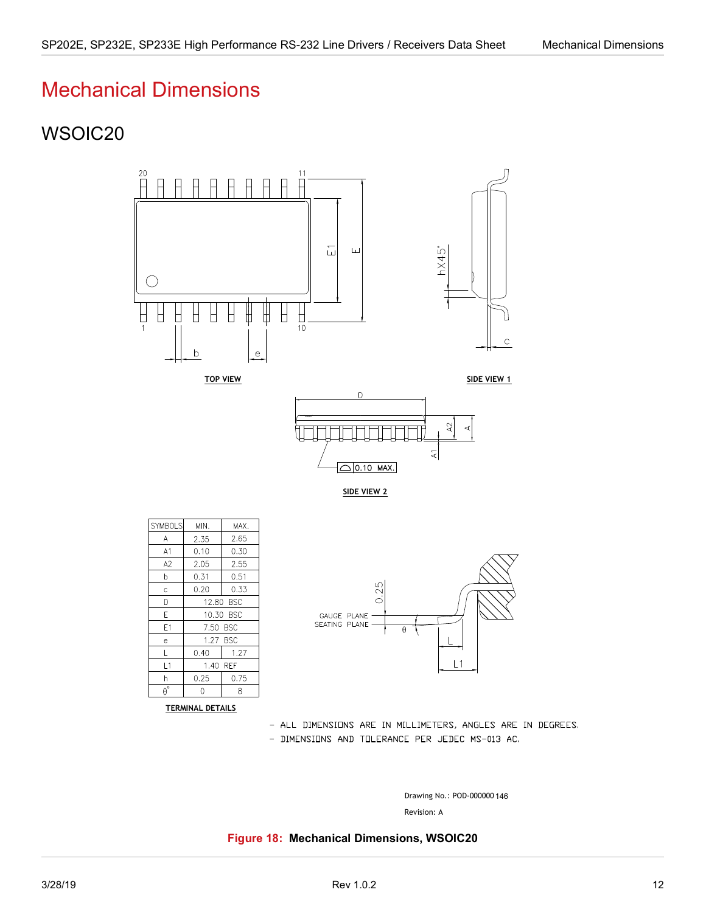## <span id="page-16-0"></span>Mechanical Dimensions

### <span id="page-16-1"></span>WSOIC20



<span id="page-16-2"></span>TERMINAL DETAILS

- ALL DIMENSIONS ARE IN MILLIMETERS, ANGLES ARE IN DEGREES.

- DIMENSIONS AND TOLERANCE PER JEDEC MS-013 AC.

Revision: A Drawing No.: POD-000000 146

**Figure 18: Mechanical Dimensions, WSOIC20**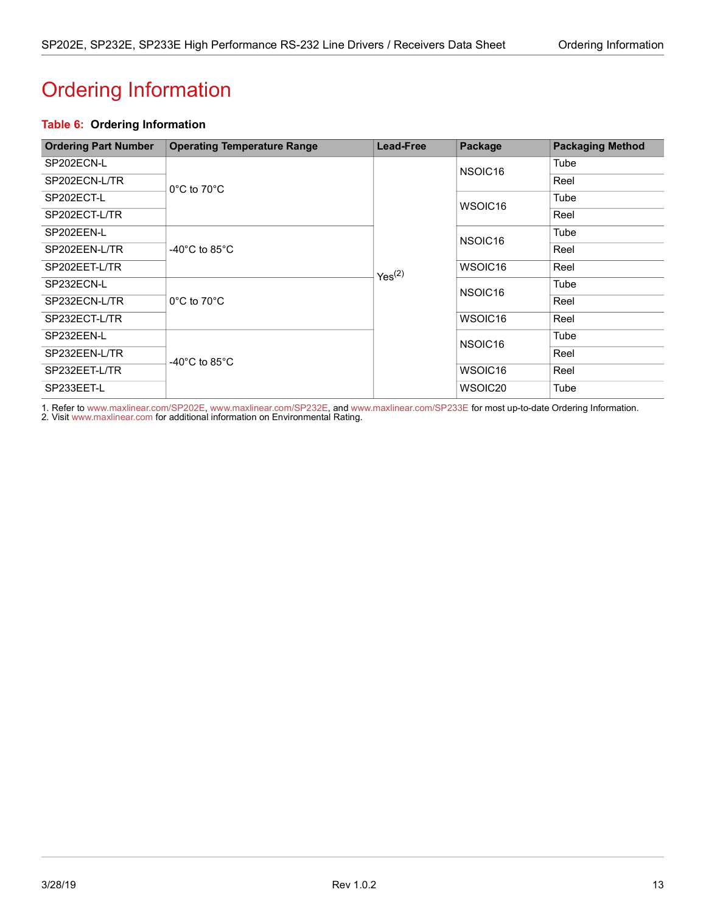# <span id="page-17-1"></span><span id="page-17-0"></span>Ordering Information

#### <span id="page-17-2"></span>**Table 6: Ordering Information**

| <b>Ordering Part Number</b> | <b>Operating Temperature Range</b>  | <b>Lead-Free</b>   | Package             | <b>Packaging Method</b> |
|-----------------------------|-------------------------------------|--------------------|---------------------|-------------------------|
| SP202ECN-L                  |                                     |                    | NSOIC <sub>16</sub> | Tube                    |
| SP202ECN-L/TR               | $0^{\circ}$ C to $70^{\circ}$ C     |                    |                     | Reel                    |
| SP202ECT-L                  |                                     |                    | WSOIC <sub>16</sub> | Tube                    |
| SP202ECT-L/TR               |                                     |                    |                     | Reel                    |
| SP202EEN-L                  |                                     |                    | NSOIC <sub>16</sub> | Tube                    |
| SP202EEN-L/TR               | -40 $^{\circ}$ C to 85 $^{\circ}$ C | Yes <sup>(2)</sup> |                     | Reel                    |
| SP202EET-L/TR               |                                     |                    | WSOIC <sub>16</sub> | Reel                    |
| SP232ECN-L                  |                                     |                    | NSOIC <sub>16</sub> | Tube                    |
| SP232ECN-L/TR               | $0^{\circ}$ C to $70^{\circ}$ C     |                    |                     | Reel                    |
| SP232ECT-L/TR               |                                     |                    | WSOIC <sub>16</sub> | Reel                    |
| SP232EEN-L                  |                                     |                    | NSOIC <sub>16</sub> | Tube                    |
| SP232EEN-L/TR               | -40 $^{\circ}$ C to 85 $^{\circ}$ C |                    |                     | Reel                    |
| SP232EET-L/TR               |                                     |                    | WSOIC <sub>16</sub> | Reel                    |
| SP233EET-L                  |                                     |                    | WSOIC <sub>20</sub> | Tube                    |

1. Refer to [www.maxlinear.com/SP202E,](www.maxlinear.com/SP202E)<www.maxlinear.com/SP232E>, and <www.maxlinear.com/SP233E>for most up-to-date Ordering Information.

2. Visit[www.maxlinear.com](http://www.maxlinear.com) for additional information on Environmental Rating.